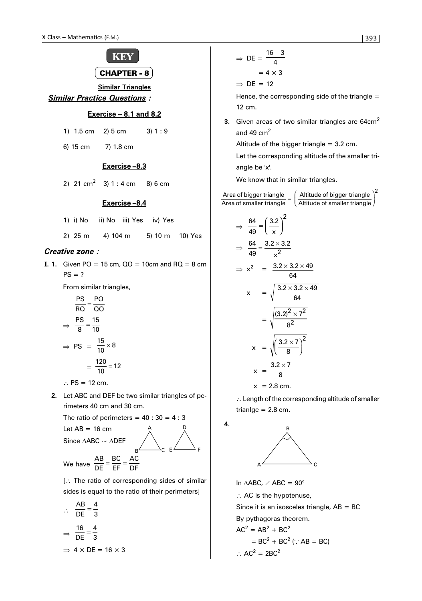

**Similar Triangles**

# *Similar Practice Questions :*

# **Exercise – 8.1 and 8.2**

|  |  | 1) 1.5 cm 2) 5 cm | 3) 1 : 9 |
|--|--|-------------------|----------|
|--|--|-------------------|----------|

6) 15 cm 7) 1.8 cm

## **Exercise –8.3**

2) 21 cm<sup>2</sup> 3) 1 : 4 cm 8) 6 cm

#### **Exercise –8.4**

- 1) i) No ii) No iii) Yes iv) Yes
- 2) 25 m 4) 104 m 5) 10 m 10) Yes

# *Creative zone :*

**I. 1.** Given PO = 15 cm,  $QO = 10$ cm and  $RO = 8$  cm  $PS = ?$ 

From similar triangles,

$$
\frac{PS}{RQ} = \frac{PO}{QO}
$$
\n
$$
\Rightarrow \frac{PS}{8} = \frac{15}{10}
$$
\n
$$
\Rightarrow PS = \frac{15}{10} \times 8
$$
\n
$$
= \frac{120}{10} = 12
$$

∴ PS = 12 cm.

**2.** Let ABC and DEF be two similar triangles of perimeters 40 cm and 30 cm.

The ratio of perimeters =  $40:30 = 4:3$ Let  $AB = 16$  cm A  $\mathbf{D}$ 

Since  $\triangle ABC \sim \triangle D$ 

DE

We have  $\frac{AB}{DE}$ 

$$
\frac{B}{E} = \frac{BC}{DE} = \frac{AC}{DF}
$$

[∴ The ratio of corresponding sides of similar sides is equal to the ratio of their perimeters]

$$
\therefore \frac{AB}{DE} = \frac{4}{3}
$$

$$
\Rightarrow \frac{16}{DE} = \frac{4}{3}
$$

$$
\Rightarrow 4 \times DE = 16 \times 3
$$

$$
\Rightarrow \text{DE} = \frac{16 \quad 3}{4}
$$

$$
= 4 \times 3
$$

$$
\Rightarrow \text{DE} = 12
$$

Hence, the corresponding side of the triangle  $=$ 12 cm.

**3.** Given areas of two similar triangles are 64cm<sup>2</sup> and 49  $cm<sup>2</sup>$ 

Altitude of the bigger triangle  $= 3.2$  cm.

Let the corresponding altitude of the smaller triangle be 'x'.

 $\epsilon$ 

We know that in similar triangles.

Area of bigger triangle  
\nArea of smaller triangle = 
$$
\left(\frac{\text{Altitude of bigger triangle}}{\text{Altitude of smaller triangle}}\right)^2
$$
  
\n $\Rightarrow \frac{64}{49} = \left(\frac{3.2}{x}\right)^2$   
\n $\Rightarrow \frac{64}{49} = \frac{3.2 \times 3.2}{x^2}$   
\n $\Rightarrow x^2 = \frac{3.2 \times 3.2 \times 49}{64}$   
\n $x = \sqrt{\frac{3.2 \times 3.2 \times 49}{64}}$   
\n $= \sqrt{\frac{(3.2)^2 \times 7^2}{8^2}}$   
\n $x = \sqrt{\left(\frac{3.2 \times 7}{8}\right)^2}$   
\n $x = \frac{3.2 \times 7}{8}$   
\n $x = 2.8$  cm.

∴ Length of the corresponding altitude of smaller trianlge  $= 2.8$  cm.

**4.**



In ∆ABC, ∠ ABC = 90°

∴ AC is the hypotenuse,

Since it is an isosceles triangle,  $AB = BC$ 

By pythagoras theorem.

$$
AC2 = AB2 + BC2
$$
  
= BC<sup>2</sup> + BC<sup>2</sup> (: AB = BC)  
:. AC<sup>2</sup> = 2BC<sup>2</sup>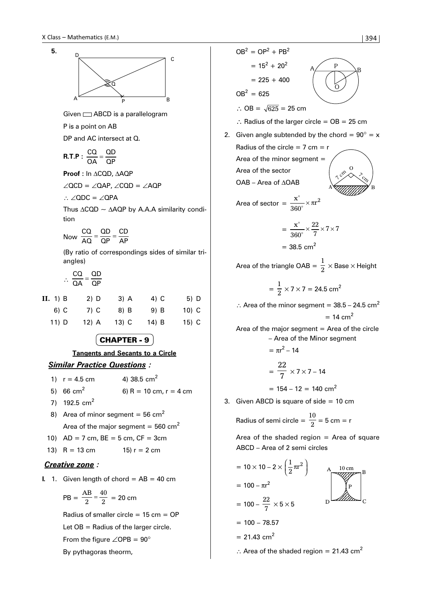



| 1) $r = 4.5$ cm | 4) 38.5 $cm2$            |
|-----------------|--------------------------|
| 5) 66 $cm2$     | 6) R = 10 cm, $r = 4$ cm |

- 7) 192.5  $cm<sup>2</sup>$
- 8) Area of minor segment =  $56 \text{ cm}^2$ Area of the major segment =  $560 \text{ cm}^2$
- 10)  $AD = 7$  cm,  $BE = 5$  cm,  $CF = 3$ cm
- 13)  $R = 13$  cm 15)  $r = 2$  cm

#### *Creative zone :*

**I.** 1. Given length of chord  $= AB = 40$  cm

$$
PB = \frac{AB}{2} = \frac{40}{2} = 20 \text{ cm}
$$

Radius of smaller circle  $= 15$  cm  $=$  OP Let OB = Radius of the larger circle. From the figure  $\angle$ OPB = 90° By pythagoras theorm,

 $= 15^2 + 20^2$  $= 225 + 400$  $OB^2 = 625$ ∴ OB =  $\sqrt{625}$  = 25 cm ∴ Radius of the larger circle =  $OB = 25$  cm 2. Given angle subtended by the chord =  $90^\circ$  = x Radius of the circle  $= 7$  cm  $= r$ Area of the minor segment  $=$ Area of the sector OAB – Area of ∆OAB Area of sector  $=\frac{x^{\circ}}{2000} \times \pi r$  360  $\times \pi r^2$  $=\frac{x^{\degree}}{360^{\degree}}$  $\times \frac{22}{7} \times 7 \times 7$  $= 38.5$  cm<sup>2</sup> Area of the triangle OAB  $=\frac{1}{2}\times$  Base  $\times$  Height  $=\frac{1}{2} \times 7 \times 7 = 24.5 \text{ cm}^2$ ∴ Area of the minor segment =  $38.5 - 24.5$  cm<sup>2</sup>  $= 14$  cm<sup>2</sup> Area of the major segment  $=$  Area of the circle – Area of the Minor segment  $= \pi r^2 - 14$  $=\frac{22}{7} \times 7 \times 7 - 14$  $= 154 - 12 = 140$  cm<sup>2</sup>  $A \angle P$ O 2<br><% А <del>Х*иппий* В</del> O n cro 456789012345678 456789012345678 456789012345678 456789012345678 4*,,,,,,,*,

 $OB^2 = OP^2 + PB^2$ 

3. Given ABCD is square of side  $= 10$  cm

Radius of semi circle = 
$$
\frac{10}{2}
$$
 = 5 cm = r

Area of the shaded region  $=$  Area of square ABCD – Area of 2 semi circles



∴ Area of the shaded region = 21.43 cm<sup>2</sup>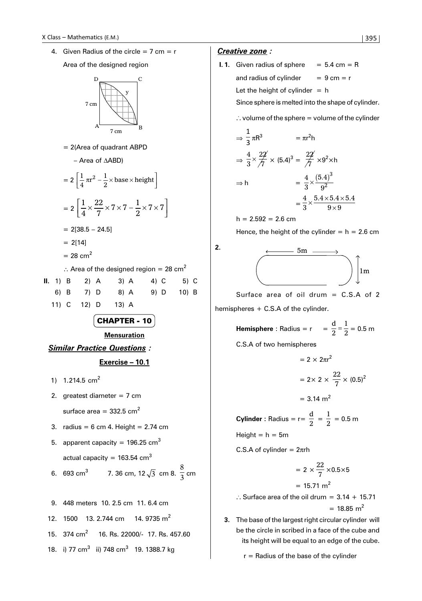4. Given Radius of the circle  $= 7$  cm  $= r$ Area of the designed region



= 2(Area of quadrant ABPD

– Area of ∆ABD)

$$
= 2\left[\frac{1}{4}\pi r^2 - \frac{1}{2} \times \text{base} \times \text{height}\right]
$$

$$
= 2\left[\frac{1}{4} \times \frac{22}{7} \times 7 \times 7 - \frac{1}{2} \times 7 \times 7\right]
$$

$$
= 2[38.5 - 24.5]
$$

 $= 2[14]$ 

 $= 28$  cm<sup>2</sup>

∴ Area of the designed region = 28 cm<sup>2</sup>

|  |  | <b>II.</b> 1) B 2) A 3) A 4) C 5) C |  |  |
|--|--|-------------------------------------|--|--|
|  |  | 6) B 7) D 8) A 9) D 10) B           |  |  |
|  |  | 11) C 12) D 13) A                   |  |  |

CHAPTER - 10

**Mensuration**

*Similar Practice Questions :* **Exercise – 10.1**

- 1)  $1.214.5$  cm<sup>2</sup>
- 2. greatest diameter  $= 7$  cm surface area =  $332.5$  cm<sup>2</sup>
- 3. radius =  $6 \text{ cm } 4$ . Height = 2.74 cm

5. apparent capacity = 196.25 cm<sup>3</sup> actual capacity = 163.54 cm3

6. 693 cm<sup>3</sup> 7. 36 cm, 12
$$
\sqrt{3}
$$
 cm 8.  $\frac{8}{3}$  cm

9. 448 meters 10. 2.5 cm 11. 6.4 cm 12. 1500 13. 2.744 cm 14. 9735 m<sup>2</sup> 15. 374 cm<sup>2</sup> 16. Rs. 22000/- 17. Rs. 457.60 18. i) 77 cm<sup>3</sup> ii) 748 cm<sup>3</sup> 19. 1388.7 kg

## *Creative zone :*

**I. 1.** Given radius of sphere  $= 5.4$  cm  $= R$ and radius of cylinder  $= 9 \text{ cm} = r$ Let the height of cylinder  $= h$ Since sphere is melted into the shape of cylinder.

 $\therefore$  volume of the sphere = volume of the cylinder

$$
\Rightarrow \frac{1}{3} \pi R^3 = \pi r^2 h
$$

$$
\Rightarrow \frac{4}{3} \times \frac{22}{7} \times (5.4)^3 = \frac{22}{7} \times 9^2 \times h
$$

$$
\Rightarrow h = \frac{4}{3} \times \frac{(5.4)^3}{9^2}
$$

$$
= \frac{4}{3} \times \frac{5.4 \times 5.4 \times 5.4}{9 \times 9}
$$

$$
h = 2.592 = 2.6 \, \text{cm}
$$

Hence, the height of the cylinder  $= h = 2.6$  cm

**2.**



Surface area of oil drum  $=$  C.S.A of 2 hemispheres + C.S.A of the cylinder.

**Hemisphere**: Radius = r = 
$$
\frac{d}{2} = \frac{1}{2} = 0.5
$$
 m

C.S.A of two hemispheres

$$
= 2 \times 2\pi r^2
$$

$$
= 2 \times 2 \times \frac{22}{7} \times (0.5)^2
$$

$$
= 3.14 \text{ m}^2
$$

**Cylinder** : Radius = r=  $\frac{d}{2}$  =  $\frac{1}{2}$  = 0.5 m  $Height = h = 5m$ 

C.S.A of cylinder = 2πrh

$$
= 2 \times \frac{22}{7} \times 0.5 \times 5
$$

$$
= 15.71 \text{ m}^2
$$

- .. Surface area of the oil drum =  $3.14 + 15.71$  $= 18.85$  m<sup>2</sup>
- **3.** The base of the largest right circular cylinder will be the circle in scribed in a face of the cube and its height will be equal to an edge of the cube.

 $r =$  Radius of the base of the cylinder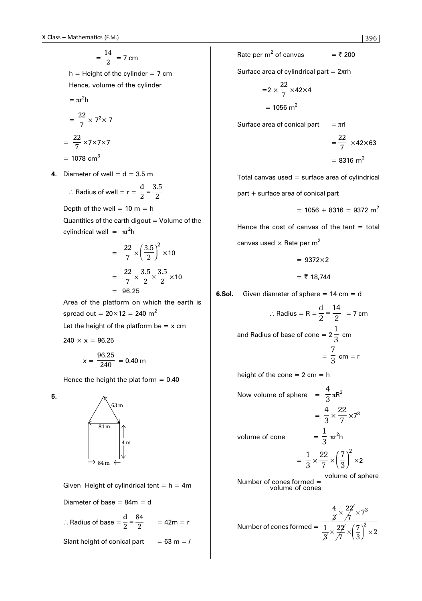$$
=\frac{14}{2}=7\,\mathrm{cm}
$$

 $h =$  Height of the cylinder = 7 cm Hence, volume of the cylinder

$$
= \pi r^2 h
$$

$$
= \frac{22}{7} \times 7^2 \times 7
$$

$$
= \frac{22}{7} \times 7 \times 7 \times 7
$$

 $= 1078$  cm<sup>3</sup>

**4.** Diameter of well =  $d = 3.5$  m

$$
\therefore \text{Radius of well} = r = \frac{d}{2} = \frac{3.5}{2}
$$

Depth of the well =  $10 m = h$ 

Quantities of the earth digout  $=$  Volume of the cylindrical well =  $πr<sup>2</sup>h$ 

$$
= \frac{22}{7} \times \left(\frac{3.5}{2}\right)^2 \times 10
$$

$$
= \frac{22}{7} \times \frac{3.5}{2} \times \frac{3.5}{2} \times 10
$$

$$
= 96.25
$$

Area of the platform on which the earth is spread out =  $20 \times 12 = 240$  m<sup>2</sup>

Let the height of the platform be  $= x$  cm

$$
240 \times x = 96.25
$$

$$
x = \frac{96.25}{240} = 0.40 \text{ m}
$$

Hence the height the plat form  $= 0.40$ 

**5.**



Given Height of cylindrical tent =  $h = 4m$ 

Diameter of base =  $84m = d$ 

$$
\therefore \text{Radius of base} = \frac{d}{2} = \frac{84}{2} \qquad = 42 \text{m} = \text{r}
$$

Slant height of conical part  $= 63$  m  $=$  /

Rate per m<sup>2</sup> of canvas = 
$$
\overline{5}
$$
 200

Surface area of cylindrical part =  $2\pi$ rh

$$
=2 \times \frac{22}{7} \times 42 \times 4
$$

$$
= 1056 \text{ m}^2
$$

Surface area of conical part  $= \pi r l$ 

$$
= \frac{22}{7} \times 42 \times 63
$$

$$
= 8316 \text{ m}^2
$$

Total canvas used  $=$  surface area of cylindrical

part + surface area of conical part

$$
= 1056 + 8316 = 9372 \text{ m}^2
$$

Hence the cost of canvas of the tent  $=$  total

canvas used  $\times$  Rate per m<sup>2</sup>

$$
= 9372 \times 2
$$

 $=$  ₹ 18,744

**6.Sol.** Given diameter of sphere = 14 cm = d

∴ Radius = R = 
$$
\frac{d}{2} = \frac{14}{2} = 7
$$
 cm  
and Radius of base of cone =  $2\frac{1}{3}$  cm  
=  $\frac{7}{3}$  cm = r

height of the cone  $= 2$  cm  $= h$ 

Now volume of sphere  $= \frac{4}{3} \pi R^3$ 

$$
= \frac{4}{3} \times \frac{22}{7} \times 7^3
$$

volume of cone

$$
= \frac{1}{3} \times \frac{22}{7} \times \left(\frac{7}{3}\right)^2 \times 2
$$

1  $rac{1}{3}$  πr<sup>2</sup>h

Number of cones formed = volume of sphere volume of cones

Number of cones formed = 
$$
\frac{\frac{4}{3} \times \frac{22}{7} \times 7^3}{\frac{1}{3} \times \frac{22}{7} \times (\frac{7}{3})^2 \times 2}
$$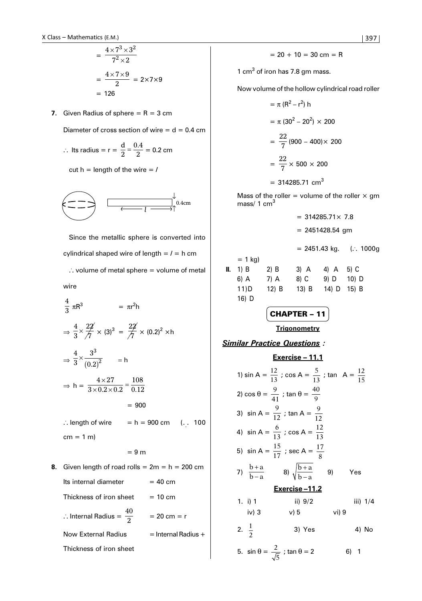$$
= \frac{4 \times 7^3 \times 3^2}{7^2 \times 2}
$$

$$
= \frac{4 \times 7 \times 9}{2} = 2 \times 7 \times 9
$$

$$
= 126
$$

**7.** Given Radius of sphere  $= R = 3$  cm

Diameter of cross section of wire  $= d = 0.4$  cm

 $\therefore$  Its radius = r =  $\frac{d}{2}$ 2  $=\frac{0.4}{2}$  = 0.2 cm

cut  $h =$  length of the wire  $=$  *l* 



Since the metallic sphere is converted into cylindrical shaped wire of length = *l =* h cm  $\therefore$  volume of metal sphere = volume of metal

wire

$$
\frac{4}{3} \pi R^3 = \pi r^2 h
$$
\n
$$
\Rightarrow \frac{4}{3} \times \frac{22}{7} \times (3)^3 = \frac{22}{7} \times (0.2)^2 \times h
$$
\n
$$
\Rightarrow \frac{4}{3} \times \frac{3^3}{(0.2)^2} = h
$$
\n
$$
\Rightarrow h = \frac{4 \times 27}{3 \times 0.2 \times 0.2} = \frac{108}{0.12}
$$
\n
$$
= 900
$$
\n
$$
\therefore \text{ length of wire } = h = 900 \text{ cm } (\dots 100 \text{ cm} = 1 \text{ m})
$$
\n
$$
= 9 \text{ m}
$$
\n8. Given length of road rolls = 2m = h = 200 cm  
\nIts internal diameter = 40 cm  
\nThickness of iron sheet = 10 cm

. Internal Radius =  $\frac{40}{2}$  $= 20 \text{ cm} = r$ 

Now External Radius  $=$  Internal Radius +

Thickness of iron sheet

$$
= 20 + 10 = 30 \text{ cm} = R
$$

1 cm $<sup>3</sup>$  of iron has 7.8 gm mass.</sup>

Now volume of the hollow cylindrical road roller

$$
= \pi (R^{2} - r^{2}) h
$$
  
=  $\pi (30^{2} - 20^{2}) \times 200$   
=  $\frac{22}{7} (900 - 400) \times 200$   
=  $\frac{22}{7} \times 500 \times 200$   
= 314285.71 cm<sup>3</sup>

Mass of the roller = volume of the roller  $\times$  gm mass/ 1 cm<sup>3</sup>

$$
= 314285.71 \times 7.8
$$
  
\n
$$
= 2451428.54 \text{ gm}
$$
  
\n
$$
= 2451.43 \text{ kg.} \quad (\because 1000g
$$
  
\n= 1 kg)  
\nII. 1) B 2) B 3) A 4) A 5) C  
\n6) A 7) A 8) C 9) D 10) D  
\n11) D 12) B 13) B 14) D 15) B  
\n16) D

$$
\boxed{\textbf{CHAPTER} - 11}
$$

**Trigonometry**

*Similar Practice Questions :*

**Exercise - 11.1**  
\n1) 
$$
\sin A = \frac{12}{13}
$$
;  $\cos A = \frac{5}{13}$ ;  $\tan A = \frac{12}{15}$   
\n2)  $\cos \theta = \frac{9}{41}$ ;  $\tan \theta = \frac{40}{9}$   
\n3)  $\sin A = \frac{9}{12}$ ;  $\tan A = \frac{9}{12}$   
\n4)  $\sin A = \frac{6}{13}$ ;  $\cos A = \frac{12}{13}$   
\n5)  $\sin A = \frac{15}{17}$ ;  $\sec A = \frac{17}{8}$   
\n7)  $\frac{b+a}{b-a}$  8)  $\sqrt{\frac{b+a}{b-a}}$  9) Yes  
\n**Exercise -11.2**  
\n1. i) 1 ii) 9/2 iii) 1/4  
\niv) 3 v) 5 vi) 9  
\n2.  $\frac{1}{2}$  3) Yes 4) No  
\n5.  $\sin \theta = \frac{2}{\sqrt{5}}$ ;  $\tan \theta = 2$  6) 1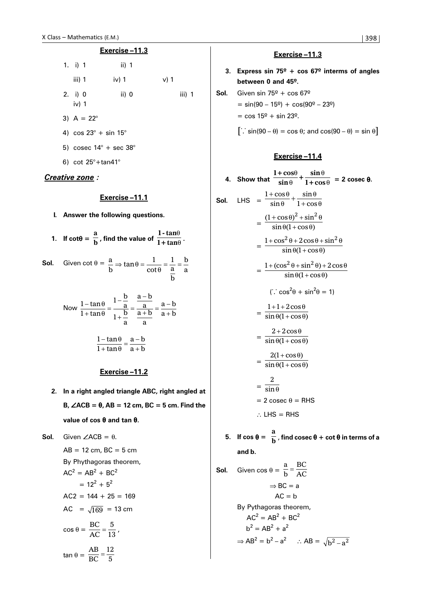## **Exercise –11.3**

| 1. i) 1 | ii) $1$ |        |
|---------|---------|--------|
| iii) 1  | iv) $1$ | $v)$ 1 |
| 2. i) 0 | ii) $0$ | iii) 1 |
| iv) $1$ |         |        |

- 3)  $A = 22^{\circ}$
- 4)  $\cos 23^\circ + \sin 15^\circ$
- 5) cosec  $14^\circ$  + sec  $38^\circ$
- 6) cot 25°+tan41°

#### *Creative zone :*

## **Exercise –11.1**

- **I. Answer the following questions.**
- **1.** If  $\cot\theta = \frac{a}{b}$ , find the value of  $\frac{1-\tan a}{1+\tan a}$ **1+tan**  $\frac{\theta}{\theta}$ .

**Sol.** Given 
$$
\cot \theta = \frac{a}{b} \Rightarrow \tan \theta = \frac{1}{\cot \theta} = \frac{1}{\frac{a}{b}} = \frac{b}{a}
$$

Now 
$$
\frac{1-\tan\theta}{1+\tan\theta} = \frac{1-\frac{b}{a}}{1+\frac{b}{a}} = \frac{\frac{a-b}{a}}{\frac{a+b}{a}} = \frac{a-b}{a+b}
$$

$$
\frac{1-\tan\theta}{1+\tan\theta} = \frac{a-b}{a+b}
$$

#### **Exercise –11.2**

**2. In a right angled triangle ABC, right angled at B,** ∠**ACB =** θ**, AB = 12 cm, BC = 5 cm. Find the value of cos** θ **and tan** θ**.**

**Sol.** Given  $\angle$  ACB =  $\theta$ .

 $AB = 12$  cm,  $BC = 5$  cm By Phythagoras theorem,  $AC^2 = AB^2 + BC^2$  $= 12^2 + 5^2$  $AC2 = 144 + 25 = 169$ AC =  $\sqrt{169}$  = 13 cm  $\cos \theta = \frac{BC}{AC} = \frac{5}{13}$ , tan θ =  $\frac{AB}{BC} = \frac{12}{5}$ 

#### **Exercise –11.3**

- **3. Express sin 75º + cos 67º interms of angles between 0 and 45º.**
- **Sol.** Given sin  $75^{\circ}$  + cos  $67^{\circ}$ 
	- $=$  sin(90 15<sup>o</sup>) + cos(90<sup>o</sup> 23<sup>o</sup>)
	- $=$  cos 15<sup>o</sup> + sin 23<sup>o</sup>.
	- $\left[\therefore \sin(90 \theta) = \cos \theta; \text{ and } \cos(90 \theta) = \sin \theta\right]$

### **Exercise –11.4**

4. Show that 
$$
\frac{1+\cos\theta}{\sin\theta} + \frac{\sin\theta}{1+\cos\theta} = 2 \csc \theta.
$$
  
\nSol. LHS = 
$$
\frac{1+\cos\theta}{\sin\theta} + \frac{\sin\theta}{1+\cos\theta}
$$

$$
= \frac{(1+\cos\theta)^2 + \sin^2\theta}{\sin\theta(1+\cos\theta)}
$$

$$
= \frac{1+\cos^2\theta + 2\cos\theta + \sin^2\theta}{\sin\theta(1+\cos\theta)}
$$

$$
= \frac{1+(\cos^2\theta + \sin^2\theta) + 2\cos\theta}{\sin\theta(1+\cos\theta)}
$$

$$
= \frac{1+1+2\cos\theta}{\sin\theta(1+\cos\theta)}
$$

$$
= \frac{2+2\cos\theta}{\sin\theta(1+\cos\theta)}
$$

$$
= \frac{2(1+\cos\theta)}{\sin\theta(1+\cos\theta)}
$$

$$
= \frac{2}{\sin\theta}
$$

$$
= 2 \csc \theta = RHS
$$
  
\n5. If  $\cos \theta = \frac{a}{b}$ , find  $\csc \theta + \cot \theta$  in terms of a and b.  
\nSol. Given  $\cos \theta = \frac{a}{b} = \frac{BC}{AC}$ 
$$
\Rightarrow BC = a
$$

$$
AC = b
$$

$$
By Pythagoras theorem,
$$

$$
AC2 = AB2 + BC2
$$
  
b<sup>2</sup> = AB<sup>2</sup> + a<sup>2</sup>  

$$
\Rightarrow AB2 = b2 - a2 \therefore AB = \sqrt{b2 - a2}
$$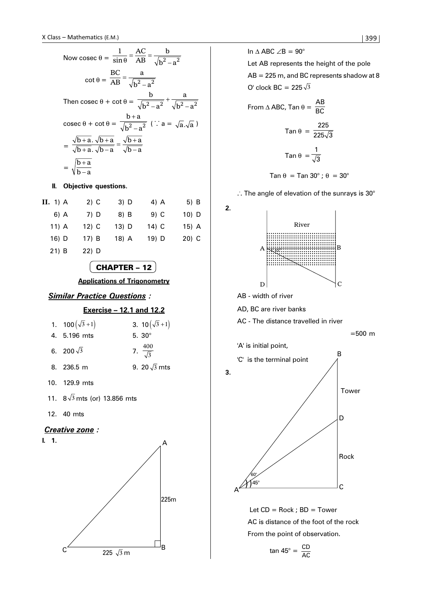Now cosec 
$$
\theta = \frac{1}{\sin \theta} = \frac{AC}{AB} = \frac{b}{\sqrt{b^2 - a^2}}
$$
  
\n
$$
\cot \theta = \frac{BC}{AB} = \frac{a}{\sqrt{b^2 - a^2}}
$$
\nThen cosec  $\theta + \cot \theta = \frac{b}{\sqrt{b^2 - a^2}} + \frac{a}{\sqrt{b^2 - a^2}}$   
\n
$$
\csc \theta + \cot \theta = \frac{b + a}{\sqrt{b^2 - a^2}} \quad (\because a = \sqrt{a}.\sqrt{a})
$$
\n
$$
= \frac{\sqrt{b + a}.\sqrt{b + a}}{\sqrt{b + a}.\sqrt{b - a}} = \frac{\sqrt{b + a}}{\sqrt{b - a}}
$$
\n
$$
= \sqrt{\frac{b + a}{b - a}}
$$

#### **II. Objective questions.**

| II. 1) A | $2)$ C  | 3) D    | 4) A   | $5)$ B  |
|----------|---------|---------|--------|---------|
| 6) A     | 7) D    | 8) B    | $9)$ C | $10)$ D |
| $11)$ A  | $12)$ C | $13)$ D | 14) C  | $15)$ A |
| 16) D    | 17) B   | 18) A   | 19) D  | $20)$ C |
| $21)$ B  | 22) D   |         |        |         |

# CHAPTER – 12

**Applications of Trigonometry**

# *Similar Practice Questions :*

#### **Exercise – 12.1 and 12.2**

| 3. $10(\sqrt{3}+1)$                                                     |
|-------------------------------------------------------------------------|
| 5. $30^{\circ}$                                                         |
| 7. $\frac{400}{\sqrt{3}}$                                               |
| 9. 20 $\sqrt{3}$ mts                                                    |
| 1. $100(\sqrt{3}+1)$<br>4. 5.196 mts<br>6. 200 $\sqrt{3}$<br>8. 236.5 m |

- 10. 129.9 mts
- 11.  $8\sqrt{3}$  mts (or) 13.856 mts
- 12. 40 mts

## *Creative zone :*





In  $\triangle$  ABC  $\angle$ B = 90° Let AB represents the height of the pole

AB = 225 m, and BC represents shadow at 8 O' clock BC =  $225\sqrt{3}$ 

From 
$$
\triangle ABC
$$
, Tan  $\theta = \frac{AB}{BC}$   
\nTan  $\theta = \frac{225}{225\sqrt{3}}$   
\nTan  $\theta = \frac{1}{\sqrt{3}}$   
\nTan  $\theta = \text{Tan } 30^\circ$ ;  $\theta = 30^\circ$ 

.. The angle of elevation of the sunrays is 30°



AB - width of river

**2.**

AD, BC are river banks

AC - The distance travelled in river

$$
=500\ \mathrm{m}
$$



Let  $CD = Rock$ ;  $BD = Tower$ AC is distance of the foot of the rock From the point of observation.

$$
\tan 45^\circ = \frac{\text{CD}}{\text{AC}}
$$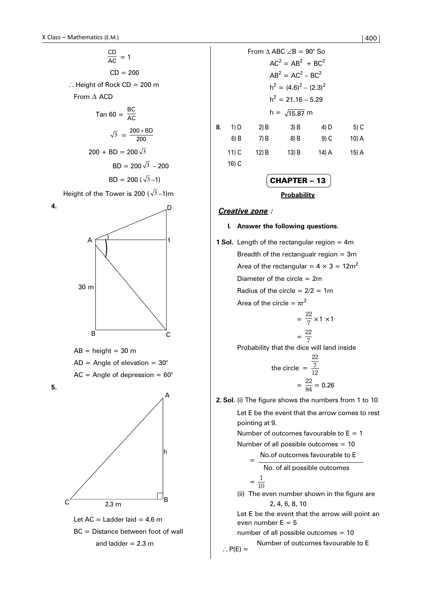**4.**

**5.**

$$
\frac{CD}{AC} = 1
$$
  
\nCD = 200  
\n∴ Height of Rock CD = 200 m  
\nFrom Δ ACD  
\nTan 60 =  $\frac{BC}{AC}$   
\n $\sqrt{3} = \frac{200 + BD}{200}$   
\n200 + BD = 200 $\sqrt{3}$   
\nBD = 200 ( $\sqrt{3}$  – 1)  
\nHeight of the Tower is 200 ( $\sqrt{3}$  – 1)m  
\nA  
\nA  
\nA  
\nB  
\n1  
\nB  
\n1  
\n1  
\n2  
\n30 m

 $AB = height = 30$  m  $AD = Angle of elevation = 30°$  $AC = Angle of depression = 60°$ Let  $AC =$  Ladder laid = 4.6 m  $\overline{3}$  $A \nightharpoonup t$ D B C A  $\frac{1}{2.3 \text{ m}}$ B h

BC = Distance between foot of wall and ladder  $= 2.3$  m

| 0                                        | 1400                  |                                               |
|------------------------------------------|-----------------------|-----------------------------------------------|
| $\frac{1}{2}$                            | = 1                   | From $\triangle ABC \angle B = 90^{\circ}$ So |
| $20 = 200$                               | $200$                 | $200$                                         |
| $\frac{120}{15}$                         | $10 = 200$            |                                               |
| $\frac{120}{15} = 200$                   | $10 = 200$            |                                               |
| $\frac{120}{15} = \frac{1200 + BD}{200}$ | $\frac{120}{200}$     |                                               |
| $\frac{120}{3} = 200\sqrt{3}$            | $\frac{120}{3} = 200$ |                                               |
| $\frac{120}{3} = 200\sqrt{3}$            | $\frac{120}{3} = 200$ |                                               |
| $\frac{120}{3} = 200\sqrt{3}$            | $\frac{120}{3} = 200$ |                                               |
| $\frac{120}{3} = 200\sqrt{3}$            | $\frac{120}{3} = 200$ |                                               |
| $\frac{120}{3} = 200\sqrt{3}$            | $\frac{120}{3} = 200$ |                                               |
| $\frac{120}{3} = 200\sqrt{3}$            | $\frac{120}{3} = 200$ |                                               |
| $\frac{120}{3} = 200\sqrt{3}$            | $\frac{120}{3} = 200$ |                                               |
| $\frac{120}{3} = 200\sqrt{3}$            | $\frac{120}{3} = 200$ |                                               |

CHAPTER – 13 **Probability**

# *Creative zone :*

#### **I. Answer the following questions.**

**1 Sol.** Length of the rectangular region = 4m Breadth of the rectangualr region  $= 3m$ Area of the rectangular =  $4 \times 3 = 12$ m<sup>2</sup> Diameter of the circle  $= 2m$ Radius of the circle  $= 2/2 = 1$ m Area of the circle =  $\pi r^2$ 

$$
= \frac{22}{7} \times 1 \times 1
$$

$$
= \frac{22}{7}
$$

Probability that the dice will land inside

the circle 
$$
=\frac{\frac{22}{7}}{\frac{22}{84}} = 0.26
$$

**2. Sol.** (i) The figure shows the numbers from 1 to 10

Let E be the event that the arrow comes to rest pointing at 9.

Number of outcomes favourable to  $E = 1$ 

Number of all possible outcomes = 10

 No.of outcomes favourable to E  $=$ 

 No. of all possible outcomes  $=$ <sup>1</sup>

$$
= \frac{1}{10}
$$

(ii) The even number shown in the figure are 2, 4, 6, 8, 10

Let E be the event that the arrow will point an even number  $E = 5$ 

number of all possible outcomes = 10

$$
\therefore P(E) =
$$
 Number of outcomes favourable to E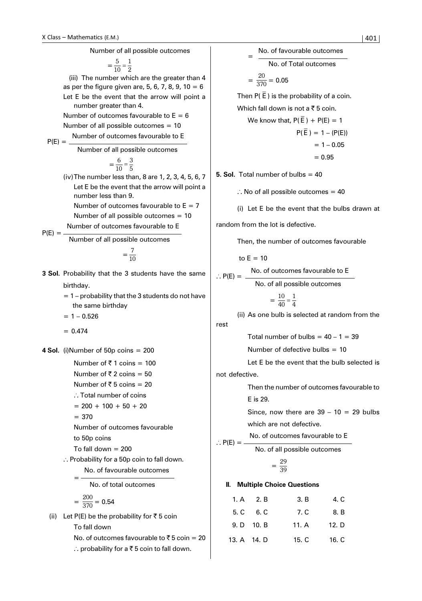

No. of outcomes favourable to  $\bar{z}$  5 coin = 20 ∴ probability for a ₹5 coin to fall down.

 $\vert 401 \vert$ No. of favourable outcomes No. of Total outcomes  $=\frac{20}{370} = 0.05$ Then P( $\overline{E}$ ) is the probability of a coin. Which fall down is not a  $\overline{5}$  5 coin. We know that,  $P(\overline{F}) + P(F) = 1$  $P(\bar{E}) = 1 - (P(E))$  $= 1 - 0.05$  $= 0.95$ **5. Sol.** Total number of bulbs = 40  $\therefore$  No of all possible outcomes = 40 (i) Let E be the event that the bulbs drawn at random from the lot is defective. Then, the number of outcomes favourable to  $E = 10$ No. of outcomes favourable to E . . P(E) = No. of all possible outcomes  $=\frac{10}{40}$  $=\frac{1}{4}$ (ii) As one bulb is selected at random from the Total number of bulbs =  $40 - 1 = 39$ Number of defective bulbs  $= 10$ Let E be the event that the bulb selected is not defective. Then the number of outcomes favourable to E is 29. Since, now there are  $39 - 10 = 29$  bulbs which are not defective. No. of outcomes favourable to E  $\therefore$  P(E) = No. of all possible outcomes  $=\frac{29}{39}$ **II. Multiple Choice Questions** 1. A 2. B 3. B 4. C 5. C 6. C 7. C 8. B 9. D 10. B 11. A 12. D 13. A 14. D 15. C 16. C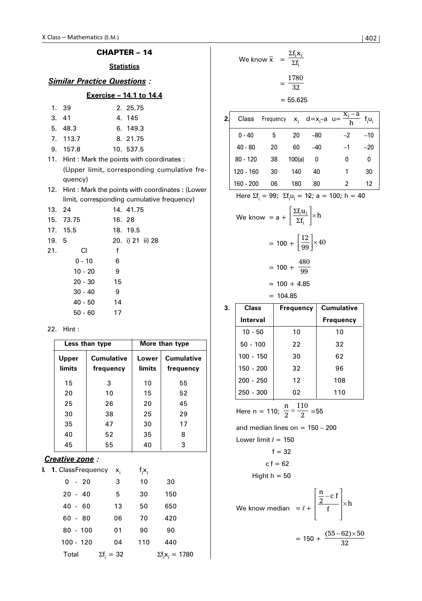|                                                                                                                                                                         | Class - Mathematics (E.M.)                              |                                             |    |                    |                                                     |                                                                           |                                                        | 402   |
|-------------------------------------------------------------------------------------------------------------------------------------------------------------------------|---------------------------------------------------------|---------------------------------------------|----|--------------------|-----------------------------------------------------|---------------------------------------------------------------------------|--------------------------------------------------------|-------|
|                                                                                                                                                                         | <b>CHAPTER - 14</b>                                     |                                             |    |                    | We know $\bar{x} = \frac{\Sigma f_i x_i}{\Sigma f}$ |                                                                           |                                                        |       |
|                                                                                                                                                                         | <b>Statistics</b><br><b>Similar Practice Questions:</b> |                                             |    | $=\frac{1780}{32}$ |                                                     |                                                                           |                                                        |       |
|                                                                                                                                                                         | Exercise - 14.1 to 14.4                                 |                                             |    |                    |                                                     | $= 55.625$                                                                |                                                        |       |
| 1.                                                                                                                                                                      | 39                                                      | 2. 25.75                                    |    |                    |                                                     |                                                                           |                                                        |       |
| 3.                                                                                                                                                                      | 41                                                      | 4. 145                                      | 2. | Class              |                                                     |                                                                           | Frequency $x_i$ $d=x_i-a$ $u=\frac{x_i-a}{h}$ $f_iu_i$ |       |
| 5.                                                                                                                                                                      | 48.3                                                    | 6. 149.3                                    |    |                    |                                                     |                                                                           |                                                        |       |
| 7.                                                                                                                                                                      | 113.7                                                   | 8. 21.75                                    |    | $0 - 40$           | 5                                                   | 20                                                                        | $-80$<br>$-2$                                          | $-10$ |
| 9.                                                                                                                                                                      | 157.8                                                   | 10. 537.5                                   |    | $40 - 80$          | 20                                                  | 60                                                                        | $-40$<br>$-1$                                          | $-20$ |
|                                                                                                                                                                         | 11. Hint: Mark the points with coordinates:             |                                             |    | $80 - 120$         | 38                                                  | 100(a)                                                                    | $\mathbf{0}$<br>$\mathbf 0$                            | 0     |
|                                                                                                                                                                         |                                                         | (Upper limit, corresponding cumulative fre- |    | $120 - 160$        | 30                                                  | 140                                                                       | 40<br>$\mathbf{1}$                                     | 30    |
|                                                                                                                                                                         | quency)                                                 |                                             |    | 160 - 200          | 06                                                  | 180                                                                       | $\overline{2}$<br>80                                   | 12    |
| Hint: Mark the points with coordinates: (Lower<br>12.<br>Here $\Sigma f_i = 99$ ; $\Sigma f_i u_i = 12$ ; a = 100; h = 40<br>limit, corresponding cumulative frequency) |                                                         |                                             |    |                    |                                                     |                                                                           |                                                        |       |
| 13. 24                                                                                                                                                                  |                                                         | 14. 41.75                                   |    |                    |                                                     |                                                                           |                                                        |       |
| 15.                                                                                                                                                                     | 73.75<br>16. 28                                         |                                             |    |                    |                                                     | We know = $a + \left  \frac{\Sigma f_i u_i}{\Sigma f_i} \right  \times h$ |                                                        |       |
| 17.                                                                                                                                                                     | 15.5<br>18. 19.5                                        |                                             |    |                    |                                                     |                                                                           |                                                        |       |
| 19. 5                                                                                                                                                                   |                                                         | 20. i) 21 ii) 28                            |    |                    |                                                     | $= 100 + \left  \frac{12}{99} \right  \times 40$                          |                                                        |       |
| 21.                                                                                                                                                                     | <b>CI</b><br>f                                          |                                             |    |                    |                                                     |                                                                           |                                                        |       |
|                                                                                                                                                                         | $0 - 10$<br>6                                           |                                             |    |                    |                                                     | $= 100 + \frac{480}{99}$                                                  |                                                        |       |
|                                                                                                                                                                         | $10 - 20$<br>9                                          |                                             |    |                    |                                                     |                                                                           |                                                        |       |
|                                                                                                                                                                         | $20 - 30$<br>15                                         |                                             |    |                    |                                                     | $= 100 + 4.85$                                                            |                                                        |       |
|                                                                                                                                                                         | $30 - 40$<br>9                                          |                                             |    |                    | $= 104.85$                                          |                                                                           |                                                        |       |
|                                                                                                                                                                         | $40 - 50$<br>14                                         |                                             | 3. | <b>Class</b>       |                                                     | <b>Frequency</b>                                                          | <b>Cumulative</b>                                      |       |
|                                                                                                                                                                         | $50 - 60$<br>17                                         |                                             |    | Interval           |                                                     |                                                                           | <b>Frequency</b>                                       |       |
|                                                                                                                                                                         | 22. Hint :                                              |                                             |    | $10 - 50$          |                                                     | 10                                                                        | 10                                                     |       |
|                                                                                                                                                                         | Lace than tyna                                          | Mare than tyne                              |    | $E_0$ 100          |                                                     | ר ר                                                                       | ר כי                                                   |       |

|                        | Less than type                 |                 | More than type                 |
|------------------------|--------------------------------|-----------------|--------------------------------|
| Upper<br><b>limits</b> | <b>Cumulative</b><br>frequency | Lower<br>limits | <b>Cumulative</b><br>frequency |
| 15                     | 3                              | 10              | 55                             |
| 20                     | 10                             | 15              | 52                             |
| 25                     | 26                             | 20              | 45                             |
| 30                     | 38                             | 25              | 29                             |
| 35                     | 47                             | 30              | 17                             |
| 40                     | 52                             | 35              | 8                              |
| 45                     | 55                             | 40              | 3                              |

# *Creative zone :*

| <b>I. 1.</b> ClassFrequency x <sub>i</sub> |                   | $f_i x_i$ |                         |  |
|--------------------------------------------|-------------------|-----------|-------------------------|--|
| $0 - 20$                                   | 3                 | 10        | 30                      |  |
| $20 - 40$                                  | 5                 | 30        | 150                     |  |
| $40 - 60$                                  | 13                | 50        | 650                     |  |
| $60 - 80$                                  | 06                | 70        | 420                     |  |
| $80 - 100$                                 | 01                | 90        | 90                      |  |
| $100 - 120$                                | 04                | 110       | 440                     |  |
| Total                                      | $\Sigma f_i = 32$ |           | $\Sigma f_i x_i = 1780$ |  |

| We know $\bar{x}$ | $\Sigma f_i X_i$<br>=<br>$\Sigma f_i$ |
|-------------------|---------------------------------------|
|                   | 1780<br>32                            |
|                   | $= 55.625$                            |

| Class       |    |        |       | ۰a   | f.u.                           |
|-------------|----|--------|-------|------|--------------------------------|
| $0 - 40$    | 5  | 20     | -80   | $-2$ | $-10$                          |
| $40 - 80$   | 20 | 60     | $-40$ | $-1$ | $-20$                          |
| $80 - 120$  | 38 | 100(a) | 0     | 0    | 0                              |
| $120 - 160$ | 30 | 140    | 40    |      | 30                             |
| 160 - 200   | 06 | 180    | 80    | 2    | 12                             |
|             |    |        |       |      | Frequency $x_i$ d= $x_i$ -a u= |

We know = 
$$
a + \left[\frac{\Sigma f_i u_i}{\Sigma f_i}\right] \times h
$$

$$
= 100 + \left[\frac{12}{99}\right] \times 40
$$

$$
= 100 + \frac{480}{99}
$$

| 3. | <b>Class</b> | <b>Frequency</b> | <b>Cumulative</b> |
|----|--------------|------------------|-------------------|
|    | Interval     |                  | <b>Frequency</b>  |
|    | $10 - 50$    | 10               | 10                |
|    | $50 - 100$   | 22               | 32                |
|    | $100 - 150$  | 30               | 62                |
|    | 150 - 200    | 32               | 96                |
|    | $200 - 250$  | 12 <sup>2</sup>  | 108               |
|    | $250 - 300$  | 02               | 110               |

Here n = 110;  $\frac{n}{2}$ 2  $=\frac{110}{2}$  = 55

and median lines on  $= 150 - 200$ Lower limit *l* = 150

 $f = 32$ 

$$
c f = 62
$$

Hight  $h = 50$ 

We know median = *l* +  $\frac{n}{6}$  – c f  $\left|\frac{\frac{n}{2}-c f}{f}\right| \times h$ L Ļ L  $\overline{\phantom{a}}$  $\overline{\phantom{a}}$  $\overline{\phantom{a}}$  $\overline{\phantom{a}}$ ×

$$
\begin{bmatrix} 1 & 1 \\ 1 & 1 \end{bmatrix}
$$
  
= 150 +  $\frac{(55 - 62) \times 50}{32}$